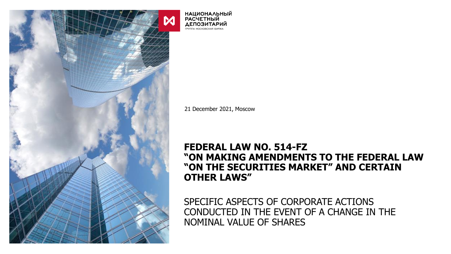

**НАЦИОНАЛЬНЫЙ РАСЧЕТНЫЙ ДЕПОЗИТАРИЙ** - - -<br>ГРУППА МОСКОВСКАЯ БИРЖА

21 December 2021, Moscow

## **FEDERAL LAW NO. 514-FZ "ON MAKING AMENDMENTS TO THE FEDERAL LAW "ON THE SECURITIES MARKET" AND CERTAIN OTHER LAWS"**

SPECIFIC ASPECTS OF CORPORATE ACTIONS CONDUCTED IN THE EVENT OF A CHANGE IN THE NOMINAL VALUE OF SHARES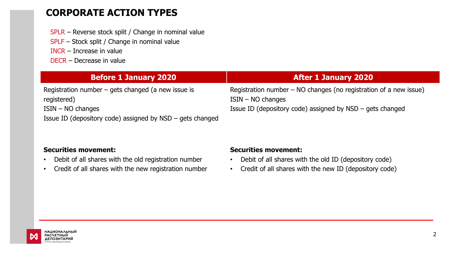## **CORPORATE ACTION TYPES**

- SPLR Reverse stock split / Change in nominal value
- SPLF Stock split / Change in nominal value
- INCR Increase in value
- DECR Decrease in value

| <b>Before 1 January 2020</b>                                | <b>After 1 January 2020</b>                                         |
|-------------------------------------------------------------|---------------------------------------------------------------------|
| Registration number $-$ gets changed (a new issue is        | Registration number $-$ NO changes (no registration of a new issue) |
| registered)                                                 | $ISIN - NO$ changes                                                 |
| $ISIN - NO$ changes                                         | Issue ID (depository code) assigned by $NSD - gets$ changed         |
| Issue ID (depository code) assigned by $NSD - gets$ changed |                                                                     |

#### **Securities movement:**

- Debit of all shares with the old registration number
- Credit of all shares with the new registration number

#### **Securities movement:**

- Debit of all shares with the old ID (depository code)
- Credit of all shares with the new ID (depository code)

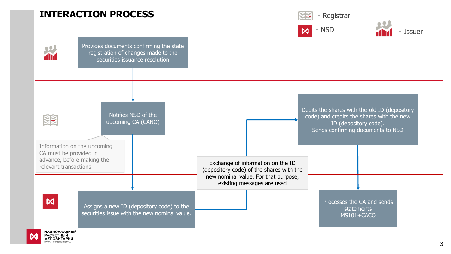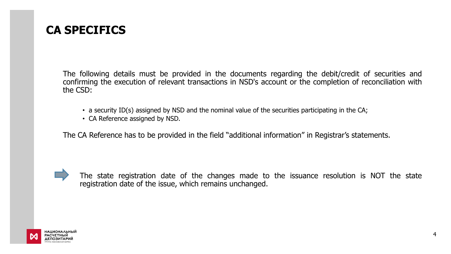# **CA SPECIFICS**

The following details must be provided in the documents regarding the debit/credit of securities and confirming the execution of relevant transactions in NSD's account or the completion of reconciliation with the CSD:

- a security ID(s) assigned by NSD and the nominal value of the securities participating in the CA;
- CA Reference assigned by NSD.

The CA Reference has to be provided in the field "additional information" in Registrar's statements.



The state registration date of the changes made to the issuance resolution is NOT the state registration date of the issue, which remains unchanged.